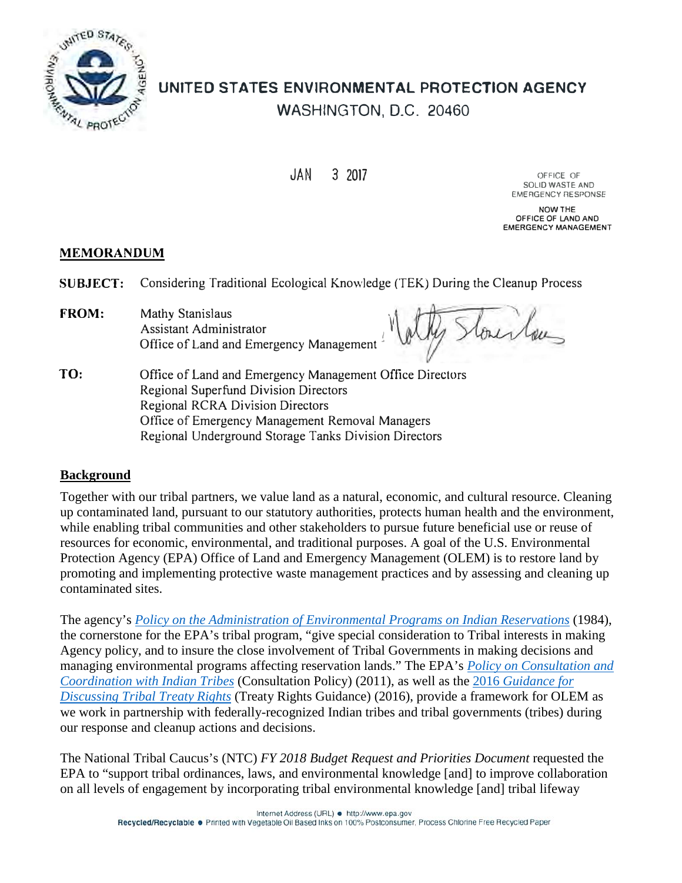

# **UNITED STATES ENVIRONMENTAL PROTECTION AGENCY**  WASHINGTON, D.C. 20460

JAN 3 2017 OFFICE OF

**SOLID WASTE AND EMERGENCY RESPONSE** 

**NOW THE OFFICE OF LAND AND EMERGENCY MANAGEMENT** 

# **MEMORANDUM**

**SUBJECT:** Considering Traditional Ecological Knowledge (TEK) During the Cleanup Process

1 · FROM: Mathy Stanislaus Assistant Administrator Office of Land and Emergency Management

Courtous \

TO: Office of Land and Emergency Management Office Directors Regional Superfund Division Directors Regional RCRA Division Directors Office of Emergency Management Removal Managers Regional Underground Storage Tanks Division Directors

# **Background**

 while enabling tribal communities and other stakeholders to pursue future beneficial use or reuse of promoting and implementing protective waste management practices and by assessing and cleaning up Together with our tribal partners, we value land as a natural, economic, and cultural resource. Cleaning up contaminated land, pursuant to our statutory authorities, protects human health and the environment, resources for economic, environmental, and traditional purposes. A goal of the U.S. Environmental Protection Agency (EPA) Office of Land and Emergency Management (OLEM) is to restore land by contaminated sites.

 managing environmental programs affecting reservation lands." The EPA's *[Policy on Consultation and](https://www.epa.gov/sites/production/files/2013-08/documents/cons-and-coord-with-indian-tribes-policy.pdf)  [Coordination with Indian Tribes](https://www.epa.gov/sites/production/files/2013-08/documents/cons-and-coord-with-indian-tribes-policy.pdf)* (Consultation Policy) (2011), as well as the 2016 *[Guidance for](https://www.epa.gov/sites/production/files/2016-02/documents/tribal_treaty_rights_guidance_for_discussing_tribal_treaty_rights.pdf)  [Discussing Tribal Treaty Rights](https://www.epa.gov/sites/production/files/2016-02/documents/tribal_treaty_rights_guidance_for_discussing_tribal_treaty_rights.pdf)* (Treaty Rights Guidance) (2016), provide a framework for OLEM as The agency's *[Policy on the Administration of Environmental Programs on Indian Reservations](https://www.epa.gov/sites/production/files/2015-04/documents/indian-policy-84.pdf)* (1984), the cornerstone for the EPA's tribal program, "give special consideration to Tribal interests in making Agency policy, and to insure the close involvement of Tribal Governments in making decisions and we work in partnership with federally-recognized Indian tribes and tribal governments (tribes) during our response and cleanup actions and decisions.

 on all levels of engagement by incorporating tribal environmental knowledge [and] tribal lifeway The National Tribal Caucus's (NTC) *FY 2018 Budget Request and Priorities Document* requested the EPA to "support tribal ordinances, laws, and environmental knowledge [and] to improve collaboration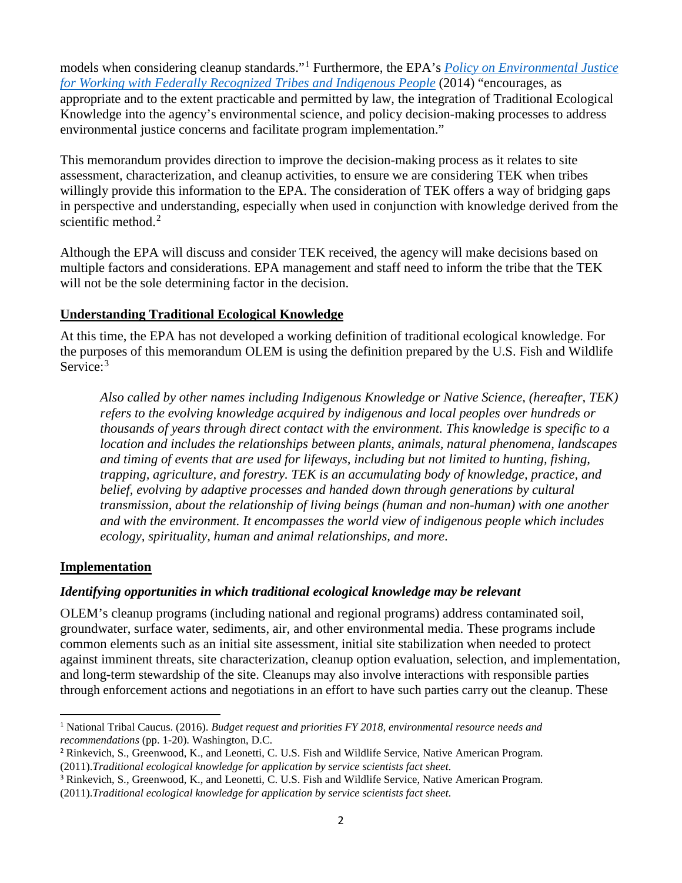models when considering cleanup standards."[1](#page-1-0) Furthermore, the EPA's *[Policy on Environmental Justice](https://www.epa.gov/environmentaljustice/epa-policy-environmental-justice-working-federally-recognized-tribes-and)  [for Working with Federally Recognized Tribes and Indigenous People](https://www.epa.gov/environmentaljustice/epa-policy-environmental-justice-working-federally-recognized-tribes-and)* (2014) "encourages, as appropriate and to the extent practicable and permitted by law, the integration of Traditional Ecological Knowledge into the agency's environmental science, and policy decision-making processes to address environmental justice concerns and facilitate program implementation."

 assessment, characterization, and cleanup activities, to ensure we are considering TEK when tribes in perspective and understanding, especially when used in conjunction with knowledge derived from the This memorandum provides direction to improve the decision-making process as it relates to site willingly provide this information to the EPA. The consideration of TEK offers a way of bridging gaps scientific method. [2](#page-1-1) 

Although the EPA will discuss and consider TEK received, the agency will make decisions based on multiple factors and considerations. EPA management and staff need to inform the tribe that the TEK will not be the sole determining factor in the decision.

# **Understanding Traditional Ecological Knowledge**

At this time, the EPA has not developed a working definition of traditional ecological knowledge. For the purposes of this memorandum OLEM is using the definition prepared by the U.S. Fish and Wildlife Service:<sup>3</sup>

*Also called by other names including Indigenous Knowledge or Native Science, (hereafter, TEK) refers to the evolving knowledge acquired by indigenous and local peoples over hundreds or thousands of years through direct contact with the environment. This knowledge is specific to a location and includes the relationships between plants, animals, natural phenomena, landscapes and timing of events that are used for lifeways, including but not limited to hunting, fishing, trapping, agriculture, and forestry. TEK is an accumulating body of knowledge, practice, and belief, evolving by adaptive processes and handed down through generations by cultural transmission, about the relationship of living beings (human and non-human) with one another and with the environment. It encompasses the world view of indigenous people which includes ecology, spirituality, human and animal relationships, and more*.

# **Implementation**

# *Identifying opportunities in which traditional ecological knowledge may be relevant*

OLEM's cleanup programs (including national and regional programs) address contaminated soil, groundwater, surface water, sediments, air, and other environmental media. These programs include common elements such as an initial site assessment, initial site stabilization when needed to protect against imminent threats, site characterization, cleanup option evaluation, selection, and implementation, and long-term stewardship of the site. Cleanups may also involve interactions with responsible parties through enforcement actions and negotiations in an effort to have such parties carry out the cleanup. These

<span id="page-1-0"></span> *recommendations* (pp. 1-20). Washington, D.C. 1 National Tribal Caucus. (2016). *Budget request and priorities FY 2018, environmental resource needs and* 

<span id="page-1-1"></span><sup>&</sup>lt;sup>2</sup> Rinkevich, S., Greenwood, K., and Leonetti, C. U.S. Fish and Wildlife Service, Native American Program. (2011).*Traditional ecological knowledge for application by service scientists fact sheet*.

<span id="page-1-2"></span><sup>&</sup>lt;sup>3</sup> Rinkevich, S., Greenwood, K., and Leonetti, C. U.S. Fish and Wildlife Service, Native American Program. (2011).*Traditional ecological knowledge for application by service scientists fact sheet*.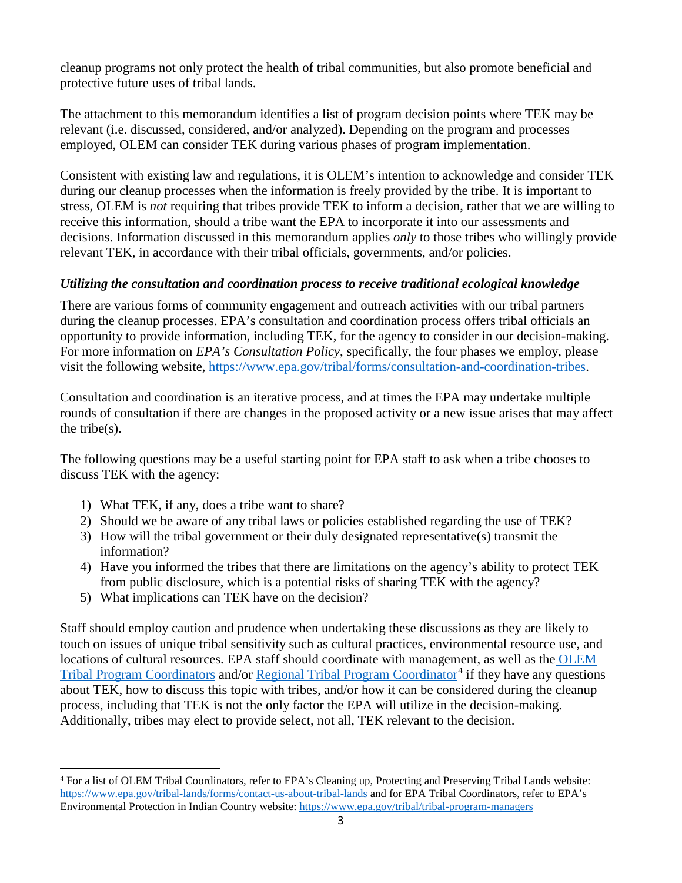cleanup programs not only protect the health of tribal communities, but also promote beneficial and protective future uses of tribal lands.

 employed, OLEM can consider TEK during various phases of program implementation. The attachment to this memorandum identifies a list of program decision points where TEK may be relevant (i.e. discussed, considered, and/or analyzed). Depending on the program and processes

Consistent with existing law and regulations, it is OLEM's intention to acknowledge and consider TEK during our cleanup processes when the information is freely provided by the tribe. It is important to stress, OLEM is *not* requiring that tribes provide TEK to inform a decision, rather that we are willing to receive this information, should a tribe want the EPA to incorporate it into our assessments and decisions. Information discussed in this memorandum applies *only* to those tribes who willingly provide relevant TEK, in accordance with their tribal officials, governments, and/or policies.

# *Utilizing the consultation and coordination process to receive traditional ecological knowledge*

There are various forms of community engagement and outreach activities with our tribal partners during the cleanup processes. EPA's consultation and coordination process offers tribal officials an opportunity to provide information, including TEK, for the agency to consider in our decision-making. For more information on *EPA's Consultation Policy*, specifically, the four phases we employ, please visit the following website, [https://www.epa.gov/tribal/forms/consultation-and-coordination-tribes.](https://www.epa.gov/tribal/forms/consultation-and-coordination-tribes)

Consultation and coordination is an iterative process, and at times the EPA may undertake multiple rounds of consultation if there are changes in the proposed activity or a new issue arises that may affect the tribe(s).

discuss TEK with the agency: The following questions may be a useful starting point for EPA staff to ask when a tribe chooses to

- 1) What TEK, if any, does a tribe want to share?
- 2) Should we be aware of any tribal laws or policies established regarding the use of TEK?
- 3) How will the tribal government or their duly designated representative(s) transmit the information?
- 4) Have you informed the tribes that there are limitations on the agency's ability to protect TEK from public disclosure, which is a potential risks of sharing TEK with the agency?
- 5) What implications can TEK have on the decision?

Additionally, tribes may elect to provide select, not all, TEK relevant to the decision. Staff should employ caution and prudence when undertaking these discussions as they are likely to touch on issues of unique tribal sensitivity such as cultural practices, environmental resource use, and locations of cultural resources. EPA staff should coordinate with management, as well as th[e OLEM](https://www.epa.gov/tribal-lands/forms/contact-us-about-tribal-lands)  [Tribal Program Coordinators](https://www.epa.gov/tribal-lands/forms/contact-us-about-tribal-lands) and/or [Regional Tribal Program Coordinator](https://www.epa.gov/tribal/tribal-program-managers)<sup>4</sup> if they have any questions about TEK, how to discuss this topic with tribes, and/or how it can be considered during the cleanup process, including that TEK is not the only factor the EPA will utilize in the decision-making.

<span id="page-2-0"></span>Environmental Protection in Indian Country website: https://www.epa.gov/tribal/tribal-program-managers <sup>4</sup> For a list of OLEM Tribal Coordinators, refer to EPA's Cleaning up, Protecting and Preserving Tribal Lands website: <https://www.epa.gov/tribal-lands/forms/contact-us-about-tribal-lands>and for EPA Tribal Coordinators, refer to EPA's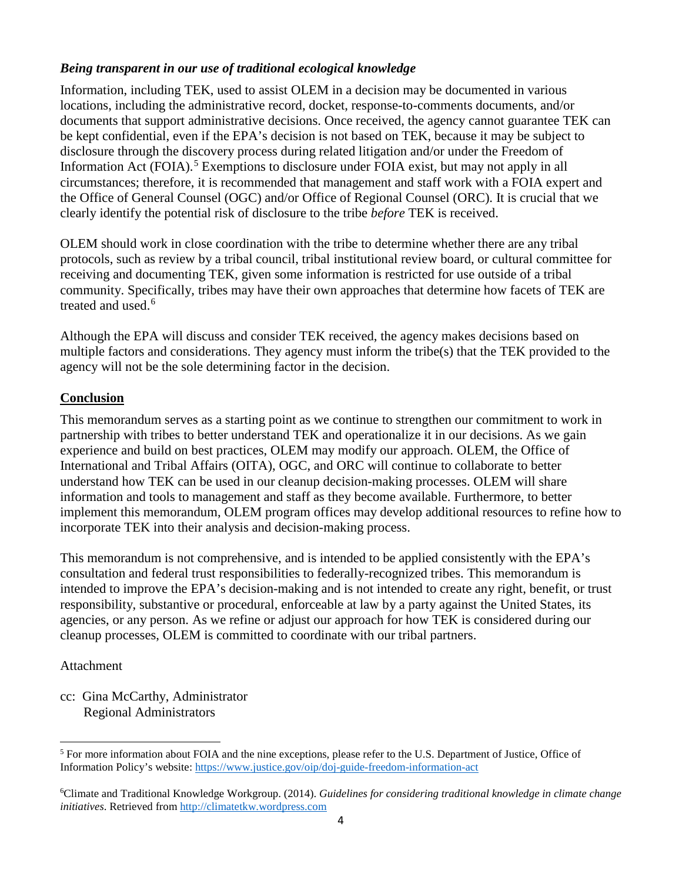### *Being transparent in our use of traditional ecological knowledge*

 disclosure through the discovery process during related litigation and/or under the Freedom of Information Act (FOIA).<sup>[5](#page-3-0)</sup> Exemptions to disclosure under FOIA exist, but may not apply in all circumstances; therefore, it is recommended that management and staff work with a FOIA expert and Information, including TEK, used to assist OLEM in a decision may be documented in various locations, including the administrative record, docket, response-to-comments documents, and/or documents that support administrative decisions. Once received, the agency cannot guarantee TEK can be kept confidential, even if the EPA's decision is not based on TEK, because it may be subject to the Office of General Counsel (OGC) and/or Office of Regional Counsel (ORC). It is crucial that we clearly identify the potential risk of disclosure to the tribe *before* TEK is received.

OLEM should work in close coordination with the tribe to determine whether there are any tribal protocols, such as review by a tribal council, tribal institutional review board, or cultural committee for receiving and documenting TEK, given some information is restricted for use outside of a tribal community. Specifically, tribes may have their own approaches that determine how facets of TEK are treated and used. [6](#page-3-1) 

 multiple factors and considerations. They agency must inform the tribe(s) that the TEK provided to the agency will not be the sole determining factor in the decision. Although the EPA will discuss and consider TEK received, the agency makes decisions based on

#### **Conclusion**

 experience and build on best practices, OLEM may modify our approach. OLEM, the Office of International and Tribal Affairs (OITA), OGC, and ORC will continue to collaborate to better This memorandum serves as a starting point as we continue to strengthen our commitment to work in partnership with tribes to better understand TEK and operationalize it in our decisions. As we gain understand how TEK can be used in our cleanup decision-making processes. OLEM will share information and tools to management and staff as they become available. Furthermore, to better implement this memorandum, OLEM program offices may develop additional resources to refine how to incorporate TEK into their analysis and decision-making process.

This memorandum is not comprehensive, and is intended to be applied consistently with the EPA's consultation and federal trust responsibilities to federally-recognized tribes. This memorandum is intended to improve the EPA's decision-making and is not intended to create any right, benefit, or trust responsibility, substantive or procedural, enforceable at law by a party against the United States, its agencies, or any person. As we refine or adjust our approach for how TEK is considered during our cleanup processes, OLEM is committed to coordinate with our tribal partners.

#### Attachment

 cc: Gina McCarthy, Administrator Regional Administrators

<span id="page-3-0"></span><sup>&</sup>lt;sup>5</sup> For more information about FOIA and the nine exceptions, please refer to the U.S. Department of Justice, Office of Information Policy's website:<https://www.justice.gov/oip/doj-guide-freedom-information-act>

<span id="page-3-1"></span><sup>6</sup> Climate and Traditional Knowledge Workgroup. (2014). *Guidelines for considering traditional knowledge in climate change initiatives*. Retrieved fro[m http://climatetkw.wordpress.com](http://climatetkw.wordpress.com/)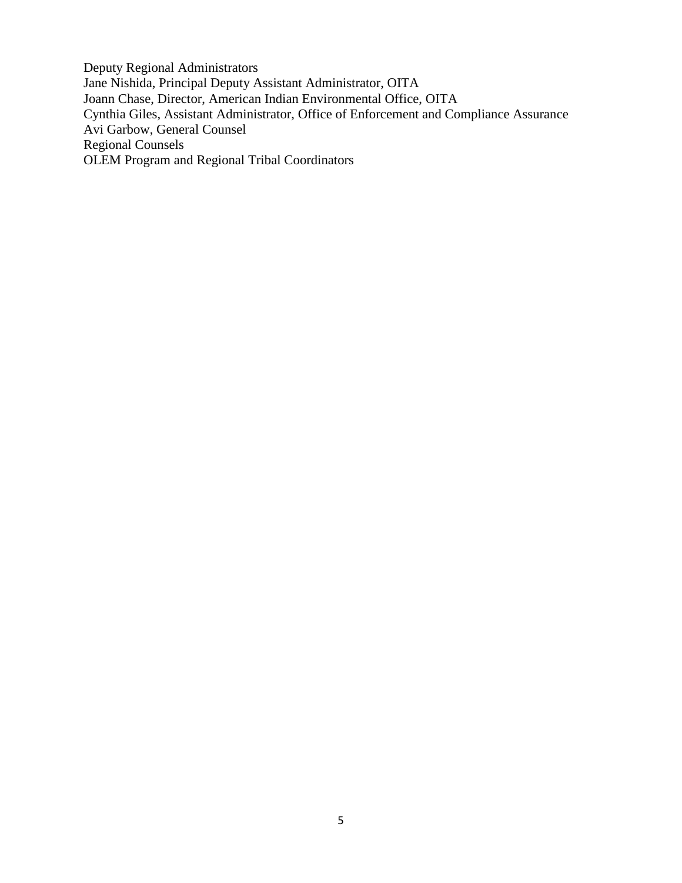Deputy Regional Administrators Jane Nishida, Principal Deputy Assistant Administrator, OITA Joann Chase, Director, American Indian Environmental Office, OITA Cynthia Giles, Assistant Administrator, Office of Enforcement and Compliance Assurance Avi Garbow, General Counsel Regional Counsels OLEM Program and Regional Tribal Coordinators